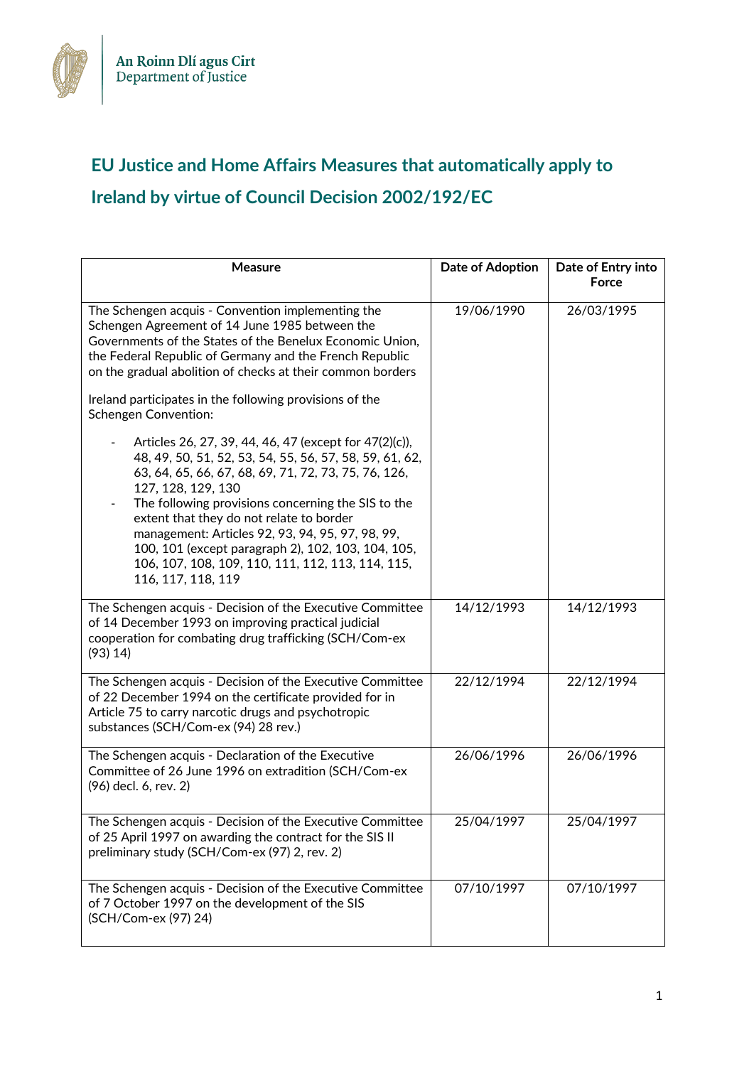

## **EU Justice and Home Affairs Measures that automatically apply to Ireland by virtue of Council Decision 2002/192/EC**

| <b>Measure</b>                                                                                                                                                                                                                                                                                                                                                                                                                                                                                                                                                                                                                                                                                                                                                                                                                                                               | Date of Adoption | Date of Entry into<br>Force |
|------------------------------------------------------------------------------------------------------------------------------------------------------------------------------------------------------------------------------------------------------------------------------------------------------------------------------------------------------------------------------------------------------------------------------------------------------------------------------------------------------------------------------------------------------------------------------------------------------------------------------------------------------------------------------------------------------------------------------------------------------------------------------------------------------------------------------------------------------------------------------|------------------|-----------------------------|
| The Schengen acquis - Convention implementing the<br>Schengen Agreement of 14 June 1985 between the<br>Governments of the States of the Benelux Economic Union,<br>the Federal Republic of Germany and the French Republic<br>on the gradual abolition of checks at their common borders<br>Ireland participates in the following provisions of the<br><b>Schengen Convention:</b><br>Articles 26, 27, 39, 44, 46, 47 (except for 47(2)(c)),<br>48, 49, 50, 51, 52, 53, 54, 55, 56, 57, 58, 59, 61, 62,<br>63, 64, 65, 66, 67, 68, 69, 71, 72, 73, 75, 76, 126,<br>127, 128, 129, 130<br>The following provisions concerning the SIS to the<br>extent that they do not relate to border<br>management: Articles 92, 93, 94, 95, 97, 98, 99,<br>100, 101 (except paragraph 2), 102, 103, 104, 105,<br>106, 107, 108, 109, 110, 111, 112, 113, 114, 115,<br>116, 117, 118, 119 | 19/06/1990       | 26/03/1995                  |
| The Schengen acquis - Decision of the Executive Committee<br>of 14 December 1993 on improving practical judicial<br>cooperation for combating drug trafficking (SCH/Com-ex<br>(93) 14)                                                                                                                                                                                                                                                                                                                                                                                                                                                                                                                                                                                                                                                                                       | 14/12/1993       | 14/12/1993                  |
| The Schengen acquis - Decision of the Executive Committee<br>of 22 December 1994 on the certificate provided for in<br>Article 75 to carry narcotic drugs and psychotropic<br>substances (SCH/Com-ex (94) 28 rev.)                                                                                                                                                                                                                                                                                                                                                                                                                                                                                                                                                                                                                                                           | 22/12/1994       | 22/12/1994                  |
| The Schengen acquis - Declaration of the Executive<br>Committee of 26 June 1996 on extradition (SCH/Com-ex<br>(96) decl. 6, rev. 2)                                                                                                                                                                                                                                                                                                                                                                                                                                                                                                                                                                                                                                                                                                                                          | 26/06/1996       | 26/06/1996                  |
| The Schengen acquis - Decision of the Executive Committee<br>of 25 April 1997 on awarding the contract for the SIS II<br>preliminary study (SCH/Com-ex (97) 2, rev. 2)                                                                                                                                                                                                                                                                                                                                                                                                                                                                                                                                                                                                                                                                                                       | 25/04/1997       | 25/04/1997                  |
| The Schengen acquis - Decision of the Executive Committee<br>of 7 October 1997 on the development of the SIS<br>(SCH/Com-ex (97) 24)                                                                                                                                                                                                                                                                                                                                                                                                                                                                                                                                                                                                                                                                                                                                         | 07/10/1997       | 07/10/1997                  |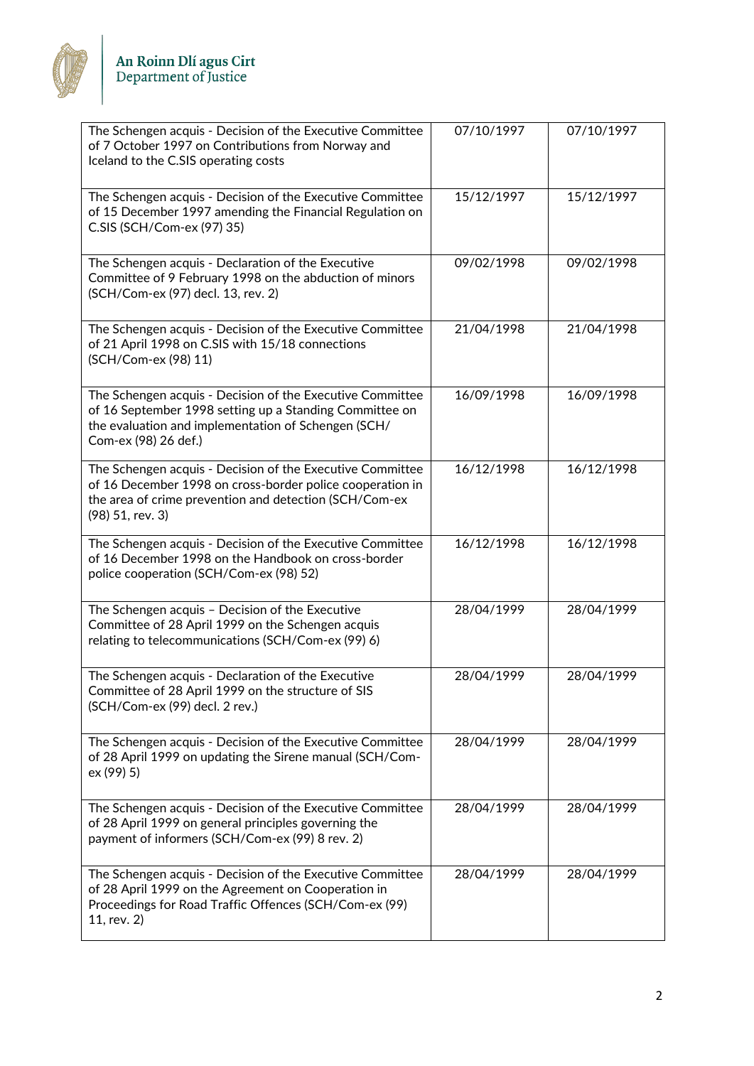

| The Schengen acquis - Decision of the Executive Committee<br>of 7 October 1997 on Contributions from Norway and<br>Iceland to the C.SIS operating costs                                              | 07/10/1997 | 07/10/1997 |
|------------------------------------------------------------------------------------------------------------------------------------------------------------------------------------------------------|------------|------------|
| The Schengen acquis - Decision of the Executive Committee<br>of 15 December 1997 amending the Financial Regulation on<br>C.SIS (SCH/Com-ex (97) 35)                                                  | 15/12/1997 | 15/12/1997 |
| The Schengen acquis - Declaration of the Executive<br>Committee of 9 February 1998 on the abduction of minors<br>(SCH/Com-ex (97) decl. 13, rev. 2)                                                  | 09/02/1998 | 09/02/1998 |
| The Schengen acquis - Decision of the Executive Committee<br>of 21 April 1998 on C.SIS with 15/18 connections<br>(SCH/Com-ex (98) 11)                                                                | 21/04/1998 | 21/04/1998 |
| The Schengen acquis - Decision of the Executive Committee<br>of 16 September 1998 setting up a Standing Committee on<br>the evaluation and implementation of Schengen (SCH/<br>Com-ex (98) 26 def.)  | 16/09/1998 | 16/09/1998 |
| The Schengen acquis - Decision of the Executive Committee<br>of 16 December 1998 on cross-border police cooperation in<br>the area of crime prevention and detection (SCH/Com-ex<br>(98) 51, rev. 3) | 16/12/1998 | 16/12/1998 |
| The Schengen acquis - Decision of the Executive Committee<br>of 16 December 1998 on the Handbook on cross-border<br>police cooperation (SCH/Com-ex (98) 52)                                          | 16/12/1998 | 16/12/1998 |
| The Schengen acquis - Decision of the Executive<br>Committee of 28 April 1999 on the Schengen acquis<br>relating to telecommunications (SCH/Com-ex (99) 6)                                           | 28/04/1999 | 28/04/1999 |
| The Schengen acquis - Declaration of the Executive<br>Committee of 28 April 1999 on the structure of SIS<br>(SCH/Com-ex (99) decl. 2 rev.)                                                           | 28/04/1999 | 28/04/1999 |
| The Schengen acquis - Decision of the Executive Committee<br>of 28 April 1999 on updating the Sirene manual (SCH/Com-<br>ex (99) 5)                                                                  | 28/04/1999 | 28/04/1999 |
| The Schengen acquis - Decision of the Executive Committee<br>of 28 April 1999 on general principles governing the<br>payment of informers (SCH/Com-ex (99) 8 rev. 2)                                 | 28/04/1999 | 28/04/1999 |
| The Schengen acquis - Decision of the Executive Committee<br>of 28 April 1999 on the Agreement on Cooperation in<br>Proceedings for Road Traffic Offences (SCH/Com-ex (99)<br>11, rev. 2)            | 28/04/1999 | 28/04/1999 |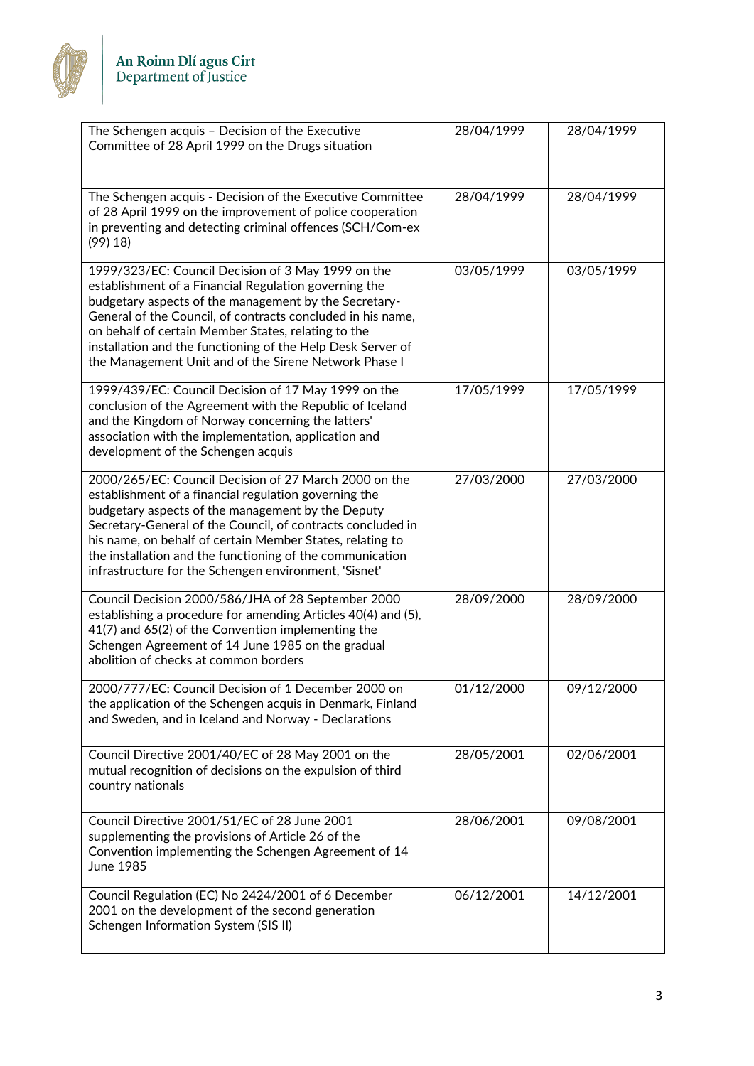

| The Schengen acquis - Decision of the Executive<br>Committee of 28 April 1999 on the Drugs situation                                                                                                                                                                                                                                                                                                                  | 28/04/1999 | 28/04/1999 |
|-----------------------------------------------------------------------------------------------------------------------------------------------------------------------------------------------------------------------------------------------------------------------------------------------------------------------------------------------------------------------------------------------------------------------|------------|------------|
| The Schengen acquis - Decision of the Executive Committee<br>of 28 April 1999 on the improvement of police cooperation<br>in preventing and detecting criminal offences (SCH/Com-ex<br>(99) 18                                                                                                                                                                                                                        | 28/04/1999 | 28/04/1999 |
| 1999/323/EC: Council Decision of 3 May 1999 on the<br>establishment of a Financial Regulation governing the<br>budgetary aspects of the management by the Secretary-<br>General of the Council, of contracts concluded in his name,<br>on behalf of certain Member States, relating to the<br>installation and the functioning of the Help Desk Server of<br>the Management Unit and of the Sirene Network Phase I    | 03/05/1999 | 03/05/1999 |
| 1999/439/EC: Council Decision of 17 May 1999 on the<br>conclusion of the Agreement with the Republic of Iceland<br>and the Kingdom of Norway concerning the latters'<br>association with the implementation, application and<br>development of the Schengen acquis                                                                                                                                                    | 17/05/1999 | 17/05/1999 |
| 2000/265/EC: Council Decision of 27 March 2000 on the<br>establishment of a financial regulation governing the<br>budgetary aspects of the management by the Deputy<br>Secretary-General of the Council, of contracts concluded in<br>his name, on behalf of certain Member States, relating to<br>the installation and the functioning of the communication<br>infrastructure for the Schengen environment, 'Sisnet' | 27/03/2000 | 27/03/2000 |
| Council Decision 2000/586/JHA of 28 September 2000<br>establishing a procedure for amending Articles 40(4) and (5),<br>41(7) and 65(2) of the Convention implementing the<br>Schengen Agreement of 14 June 1985 on the gradual<br>abolition of checks at common borders                                                                                                                                               | 28/09/2000 | 28/09/2000 |
| 2000/777/EC: Council Decision of 1 December 2000 on<br>the application of the Schengen acquis in Denmark, Finland<br>and Sweden, and in Iceland and Norway - Declarations                                                                                                                                                                                                                                             | 01/12/2000 | 09/12/2000 |
| Council Directive 2001/40/EC of 28 May 2001 on the<br>mutual recognition of decisions on the expulsion of third<br>country nationals                                                                                                                                                                                                                                                                                  | 28/05/2001 | 02/06/2001 |
| Council Directive 2001/51/EC of 28 June 2001<br>supplementing the provisions of Article 26 of the<br>Convention implementing the Schengen Agreement of 14<br>June 1985                                                                                                                                                                                                                                                | 28/06/2001 | 09/08/2001 |
| Council Regulation (EC) No 2424/2001 of 6 December<br>2001 on the development of the second generation<br>Schengen Information System (SIS II)                                                                                                                                                                                                                                                                        | 06/12/2001 | 14/12/2001 |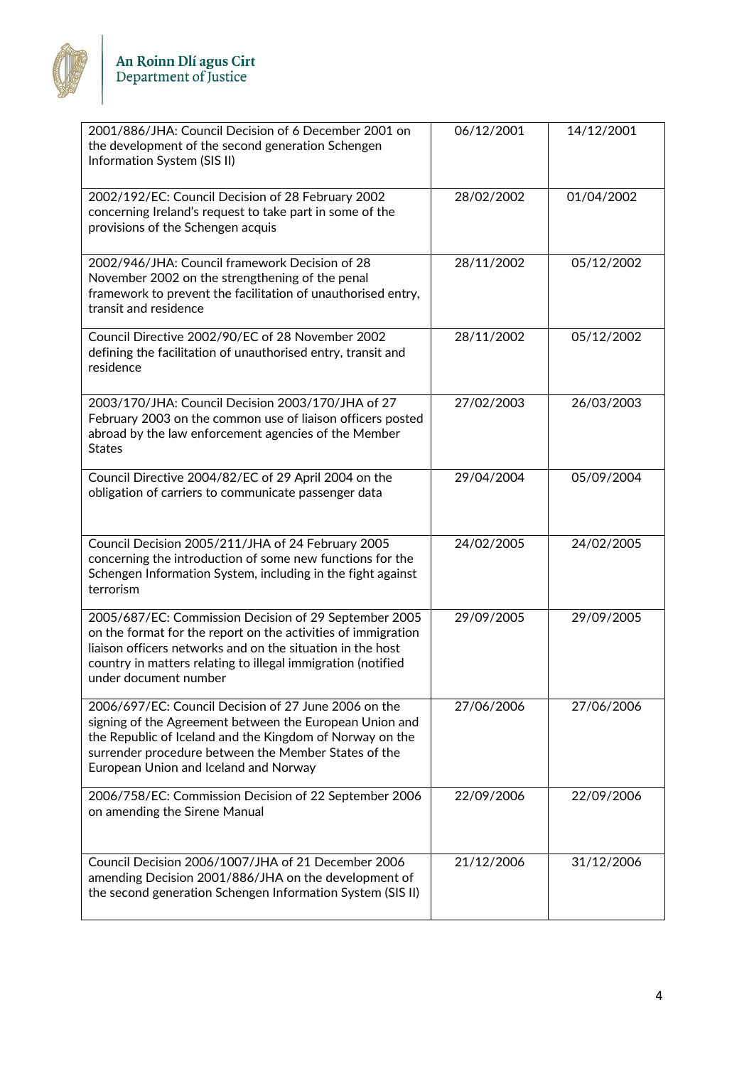

| 2001/886/JHA: Council Decision of 6 December 2001 on<br>the development of the second generation Schengen<br>Information System (SIS II)                                                                                                                                      | 06/12/2001 | 14/12/2001 |
|-------------------------------------------------------------------------------------------------------------------------------------------------------------------------------------------------------------------------------------------------------------------------------|------------|------------|
| 2002/192/EC: Council Decision of 28 February 2002<br>concerning Ireland's request to take part in some of the<br>provisions of the Schengen acquis                                                                                                                            | 28/02/2002 | 01/04/2002 |
| 2002/946/JHA: Council framework Decision of 28<br>November 2002 on the strengthening of the penal<br>framework to prevent the facilitation of unauthorised entry,<br>transit and residence                                                                                    | 28/11/2002 | 05/12/2002 |
| Council Directive 2002/90/EC of 28 November 2002<br>defining the facilitation of unauthorised entry, transit and<br>residence                                                                                                                                                 | 28/11/2002 | 05/12/2002 |
| 2003/170/JHA: Council Decision 2003/170/JHA of 27<br>February 2003 on the common use of liaison officers posted<br>abroad by the law enforcement agencies of the Member<br><b>States</b>                                                                                      | 27/02/2003 | 26/03/2003 |
| Council Directive 2004/82/EC of 29 April 2004 on the<br>obligation of carriers to communicate passenger data                                                                                                                                                                  | 29/04/2004 | 05/09/2004 |
| Council Decision 2005/211/JHA of 24 February 2005<br>concerning the introduction of some new functions for the<br>Schengen Information System, including in the fight against<br>terrorism                                                                                    | 24/02/2005 | 24/02/2005 |
| 2005/687/EC: Commission Decision of 29 September 2005<br>on the format for the report on the activities of immigration<br>liaison officers networks and on the situation in the host<br>country in matters relating to illegal immigration (notified<br>under document number | 29/09/2005 | 29/09/2005 |
| 2006/697/EC: Council Decision of 27 June 2006 on the<br>signing of the Agreement between the European Union and<br>the Republic of Iceland and the Kingdom of Norway on the<br>surrender procedure between the Member States of the<br>European Union and Iceland and Norway  | 27/06/2006 | 27/06/2006 |
| 2006/758/EC: Commission Decision of 22 September 2006<br>on amending the Sirene Manual                                                                                                                                                                                        | 22/09/2006 | 22/09/2006 |
| Council Decision 2006/1007/JHA of 21 December 2006<br>amending Decision 2001/886/JHA on the development of<br>the second generation Schengen Information System (SIS II)                                                                                                      | 21/12/2006 | 31/12/2006 |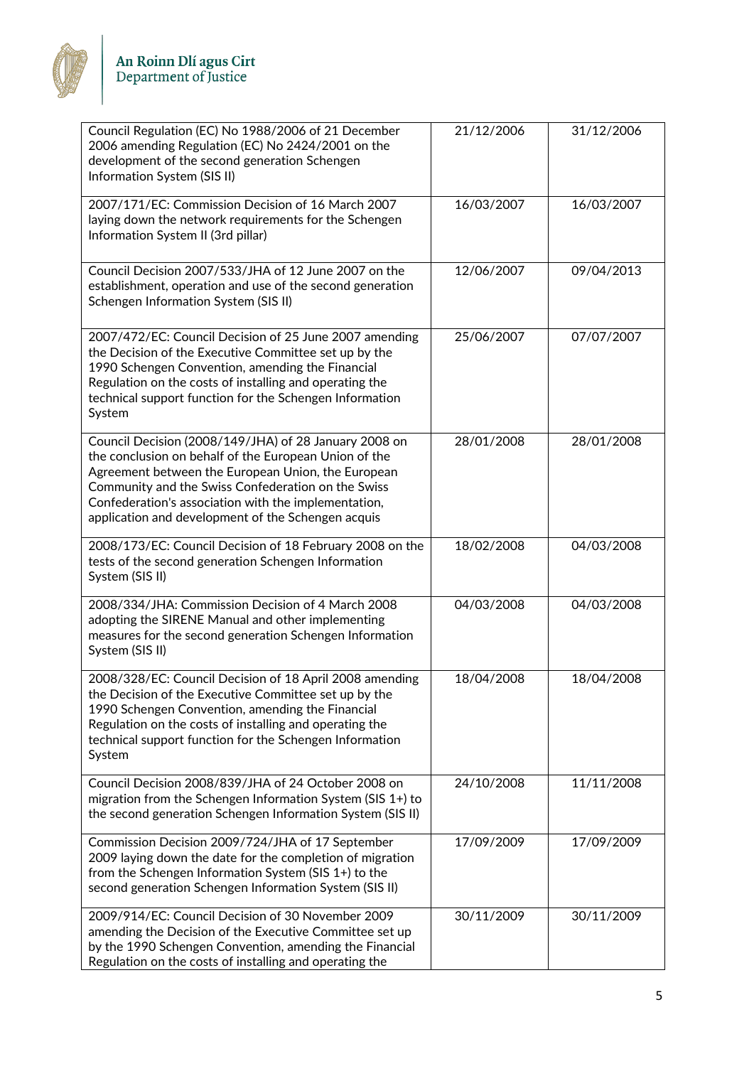

| Council Regulation (EC) No 1988/2006 of 21 December<br>2006 amending Regulation (EC) No 2424/2001 on the<br>development of the second generation Schengen<br>Information System (SIS II)                                                                                                                                                 | 21/12/2006 | 31/12/2006 |
|------------------------------------------------------------------------------------------------------------------------------------------------------------------------------------------------------------------------------------------------------------------------------------------------------------------------------------------|------------|------------|
| 2007/171/EC: Commission Decision of 16 March 2007<br>laying down the network requirements for the Schengen<br>Information System II (3rd pillar)                                                                                                                                                                                         | 16/03/2007 | 16/03/2007 |
| Council Decision 2007/533/JHA of 12 June 2007 on the<br>establishment, operation and use of the second generation<br>Schengen Information System (SIS II)                                                                                                                                                                                | 12/06/2007 | 09/04/2013 |
| 2007/472/EC: Council Decision of 25 June 2007 amending<br>the Decision of the Executive Committee set up by the<br>1990 Schengen Convention, amending the Financial<br>Regulation on the costs of installing and operating the<br>technical support function for the Schengen Information<br>System                                      | 25/06/2007 | 07/07/2007 |
| Council Decision (2008/149/JHA) of 28 January 2008 on<br>the conclusion on behalf of the European Union of the<br>Agreement between the European Union, the European<br>Community and the Swiss Confederation on the Swiss<br>Confederation's association with the implementation,<br>application and development of the Schengen acquis | 28/01/2008 | 28/01/2008 |
| 2008/173/EC: Council Decision of 18 February 2008 on the<br>tests of the second generation Schengen Information<br>System (SIS II)                                                                                                                                                                                                       | 18/02/2008 | 04/03/2008 |
| 2008/334/JHA: Commission Decision of 4 March 2008<br>adopting the SIRENE Manual and other implementing<br>measures for the second generation Schengen Information<br>System (SIS II)                                                                                                                                                     | 04/03/2008 | 04/03/2008 |
| 2008/328/EC: Council Decision of 18 April 2008 amending<br>the Decision of the Executive Committee set up by the<br>1990 Schengen Convention, amending the Financial<br>Regulation on the costs of installing and operating the<br>technical support function for the Schengen Information<br>System                                     | 18/04/2008 | 18/04/2008 |
| Council Decision 2008/839/JHA of 24 October 2008 on<br>migration from the Schengen Information System (SIS $1+$ ) to<br>the second generation Schengen Information System (SIS II)                                                                                                                                                       | 24/10/2008 | 11/11/2008 |
| Commission Decision 2009/724/JHA of 17 September<br>2009 laying down the date for the completion of migration<br>from the Schengen Information System (SIS 1+) to the<br>second generation Schengen Information System (SIS II)                                                                                                          | 17/09/2009 | 17/09/2009 |
| 2009/914/EC: Council Decision of 30 November 2009<br>amending the Decision of the Executive Committee set up<br>by the 1990 Schengen Convention, amending the Financial<br>Regulation on the costs of installing and operating the                                                                                                       | 30/11/2009 | 30/11/2009 |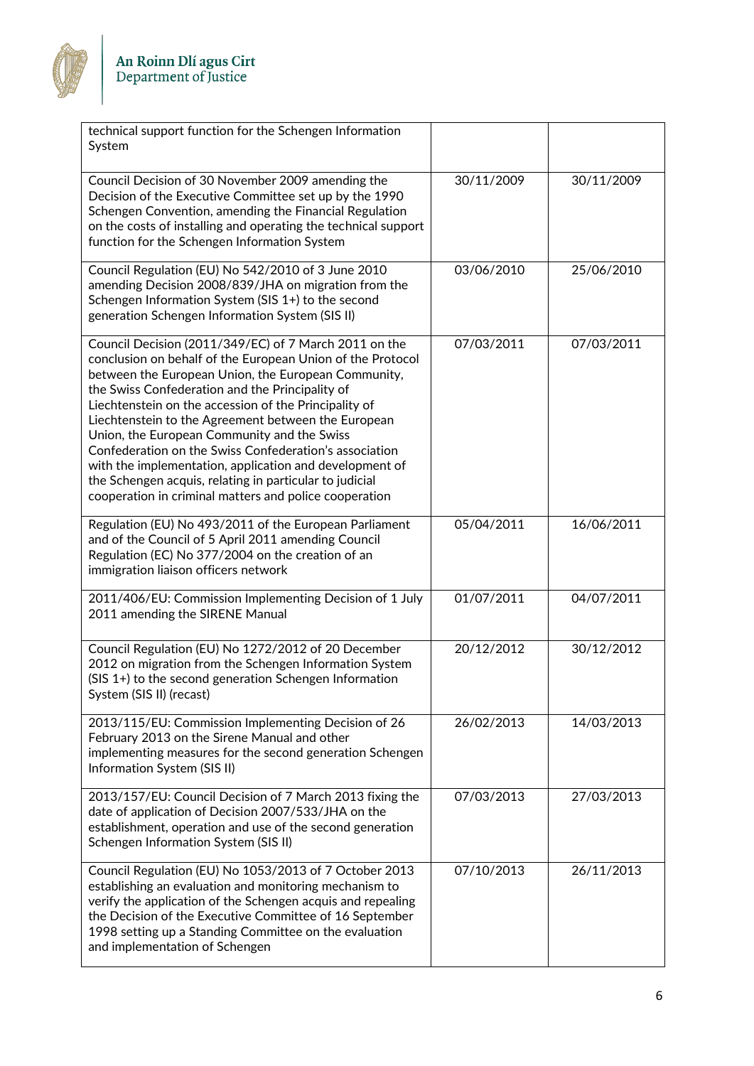

| technical support function for the Schengen Information<br>System                                                                                                                                                                                                                                                                                                                                                                                                                                                                                                                                                                      |            |            |
|----------------------------------------------------------------------------------------------------------------------------------------------------------------------------------------------------------------------------------------------------------------------------------------------------------------------------------------------------------------------------------------------------------------------------------------------------------------------------------------------------------------------------------------------------------------------------------------------------------------------------------------|------------|------------|
| Council Decision of 30 November 2009 amending the<br>Decision of the Executive Committee set up by the 1990<br>Schengen Convention, amending the Financial Regulation<br>on the costs of installing and operating the technical support<br>function for the Schengen Information System                                                                                                                                                                                                                                                                                                                                                | 30/11/2009 | 30/11/2009 |
| Council Regulation (EU) No 542/2010 of 3 June 2010<br>amending Decision 2008/839/JHA on migration from the<br>Schengen Information System (SIS 1+) to the second<br>generation Schengen Information System (SIS II)                                                                                                                                                                                                                                                                                                                                                                                                                    | 03/06/2010 | 25/06/2010 |
| Council Decision (2011/349/EC) of 7 March 2011 on the<br>conclusion on behalf of the European Union of the Protocol<br>between the European Union, the European Community,<br>the Swiss Confederation and the Principality of<br>Liechtenstein on the accession of the Principality of<br>Liechtenstein to the Agreement between the European<br>Union, the European Community and the Swiss<br>Confederation on the Swiss Confederation's association<br>with the implementation, application and development of<br>the Schengen acquis, relating in particular to judicial<br>cooperation in criminal matters and police cooperation | 07/03/2011 | 07/03/2011 |
| Regulation (EU) No 493/2011 of the European Parliament<br>and of the Council of 5 April 2011 amending Council<br>Regulation (EC) No 377/2004 on the creation of an<br>immigration liaison officers network                                                                                                                                                                                                                                                                                                                                                                                                                             | 05/04/2011 | 16/06/2011 |
| 2011/406/EU: Commission Implementing Decision of 1 July<br>2011 amending the SIRENE Manual                                                                                                                                                                                                                                                                                                                                                                                                                                                                                                                                             | 01/07/2011 | 04/07/2011 |
| Council Regulation (EU) No 1272/2012 of 20 December<br>2012 on migration from the Schengen Information System<br>(SIS 1+) to the second generation Schengen Information<br>System (SIS II) (recast)                                                                                                                                                                                                                                                                                                                                                                                                                                    | 20/12/2012 | 30/12/2012 |
| 2013/115/EU: Commission Implementing Decision of 26<br>February 2013 on the Sirene Manual and other<br>implementing measures for the second generation Schengen<br>Information System (SIS II)                                                                                                                                                                                                                                                                                                                                                                                                                                         | 26/02/2013 | 14/03/2013 |
| 2013/157/EU: Council Decision of 7 March 2013 fixing the<br>date of application of Decision 2007/533/JHA on the<br>establishment, operation and use of the second generation<br>Schengen Information System (SIS II)                                                                                                                                                                                                                                                                                                                                                                                                                   | 07/03/2013 | 27/03/2013 |
| Council Regulation (EU) No 1053/2013 of 7 October 2013<br>establishing an evaluation and monitoring mechanism to<br>verify the application of the Schengen acquis and repealing<br>the Decision of the Executive Committee of 16 September<br>1998 setting up a Standing Committee on the evaluation<br>and implementation of Schengen                                                                                                                                                                                                                                                                                                 | 07/10/2013 | 26/11/2013 |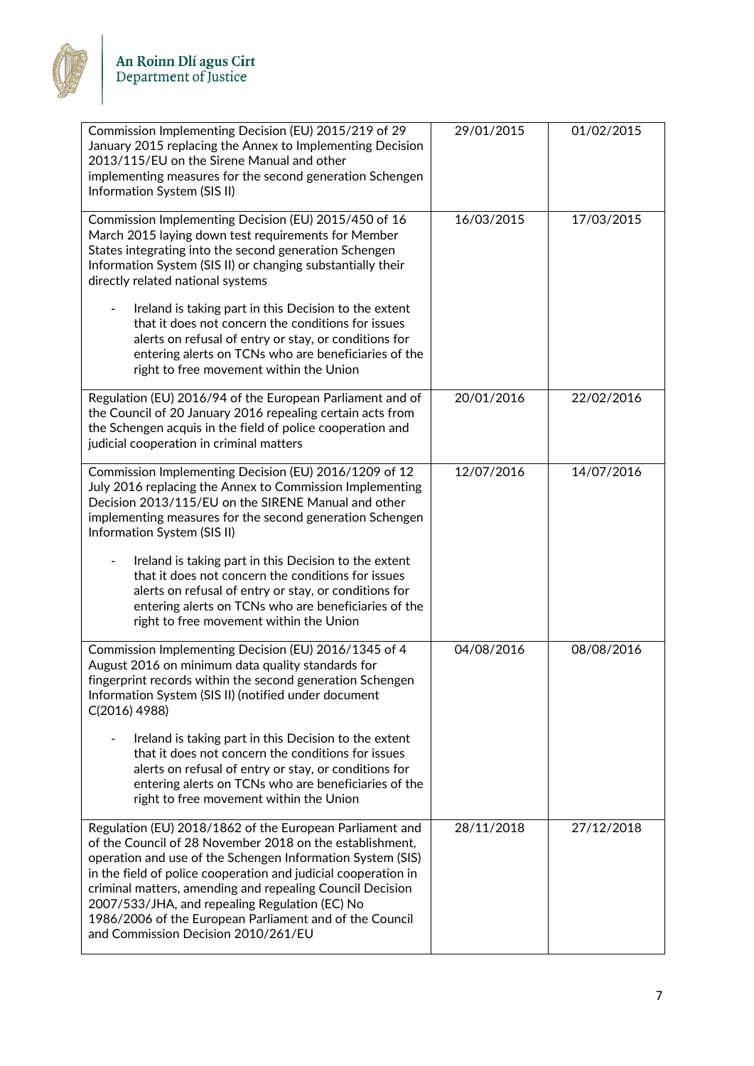

| Commission Implementing Decision (EU) 2015/219 of 29<br>January 2015 replacing the Annex to Implementing Decision<br>2013/115/EU on the Sirene Manual and other<br>implementing measures for the second generation Schengen<br>Information System (SIS II)                                                                                                                                                                                                                                                                                     | 29/01/2015 | 01/02/2015 |
|------------------------------------------------------------------------------------------------------------------------------------------------------------------------------------------------------------------------------------------------------------------------------------------------------------------------------------------------------------------------------------------------------------------------------------------------------------------------------------------------------------------------------------------------|------------|------------|
| Commission Implementing Decision (EU) 2015/450 of 16<br>March 2015 laying down test requirements for Member<br>States integrating into the second generation Schengen<br>Information System (SIS II) or changing substantially their<br>directly related national systems                                                                                                                                                                                                                                                                      | 16/03/2015 | 17/03/2015 |
| Ireland is taking part in this Decision to the extent<br>that it does not concern the conditions for issues<br>alerts on refusal of entry or stay, or conditions for<br>entering alerts on TCNs who are beneficiaries of the<br>right to free movement within the Union                                                                                                                                                                                                                                                                        |            |            |
| Regulation (EU) 2016/94 of the European Parliament and of<br>the Council of 20 January 2016 repealing certain acts from<br>the Schengen acquis in the field of police cooperation and<br>judicial cooperation in criminal matters                                                                                                                                                                                                                                                                                                              | 20/01/2016 | 22/02/2016 |
| Commission Implementing Decision (EU) 2016/1209 of 12<br>July 2016 replacing the Annex to Commission Implementing<br>Decision 2013/115/EU on the SIRENE Manual and other<br>implementing measures for the second generation Schengen<br>Information System (SIS II)<br>Ireland is taking part in this Decision to the extent<br>that it does not concern the conditions for issues<br>alerts on refusal of entry or stay, or conditions for<br>entering alerts on TCNs who are beneficiaries of the<br>right to free movement within the Union | 12/07/2016 | 14/07/2016 |
| Commission Implementing Decision (EU) 2016/1345 of 4<br>August 2016 on minimum data quality standards for<br>fingerprint records within the second generation Schengen<br>Information System (SIS II) (notified under document<br>C(2016) 4988)<br>Ireland is taking part in this Decision to the extent<br>that it does not concern the conditions for issues<br>alerts on refusal of entry or stay, or conditions for<br>entering alerts on TCNs who are beneficiaries of the<br>right to free movement within the Union                     | 04/08/2016 | 08/08/2016 |
| Regulation (EU) 2018/1862 of the European Parliament and<br>of the Council of 28 November 2018 on the establishment,<br>operation and use of the Schengen Information System (SIS)<br>in the field of police cooperation and judicial cooperation in<br>criminal matters, amending and repealing Council Decision<br>2007/533/JHA, and repealing Regulation (EC) No<br>1986/2006 of the European Parliament and of the Council<br>and Commission Decision 2010/261/EU                                                                          | 28/11/2018 | 27/12/2018 |